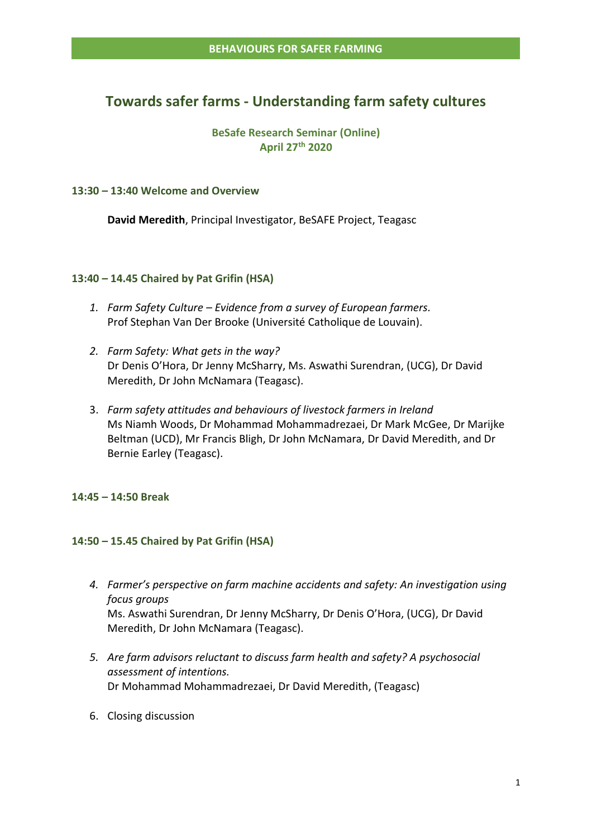# **Towards safer farms - Understanding farm safety cultures**

## **BeSafe Research Seminar (Online) April 27th 2020**

## **13:30 – 13:40 Welcome and Overview**

**David Meredith**, Principal Investigator, BeSAFE Project, Teagasc

### **13:40 – 14.45 Chaired by Pat Grifin (HSA)**

- *1. Farm Safety Culture – Evidence from a survey of European farmers.*  Prof Stephan Van Der Brooke (Université Catholique de Louvain).
- *2. Farm Safety: What gets in the way?* Dr Denis O'Hora, Dr Jenny McSharry, Ms. Aswathi Surendran, (UCG), Dr David Meredith, Dr John McNamara (Teagasc).
- 3. *Farm safety attitudes and behaviours of livestock farmers in Ireland*  Ms Niamh Woods, Dr Mohammad Mohammadrezaei, Dr Mark McGee, Dr Marijke Beltman (UCD), Mr Francis Bligh, Dr John McNamara, Dr David Meredith, and Dr Bernie Earley (Teagasc).

## **14:45 – 14:50 Break**

## **14:50 – 15.45 Chaired by Pat Grifin (HSA)**

- *4. Farmer's perspective on farm machine accidents and safety: An investigation using focus groups*  Ms. Aswathi Surendran, Dr Jenny McSharry, Dr Denis O'Hora, (UCG), Dr David Meredith, Dr John McNamara (Teagasc).
- *5. Are farm advisors reluctant to discuss farm health and safety? A psychosocial assessment of intentions.* Dr Mohammad Mohammadrezaei, Dr David Meredith, (Teagasc)
- 6. Closing discussion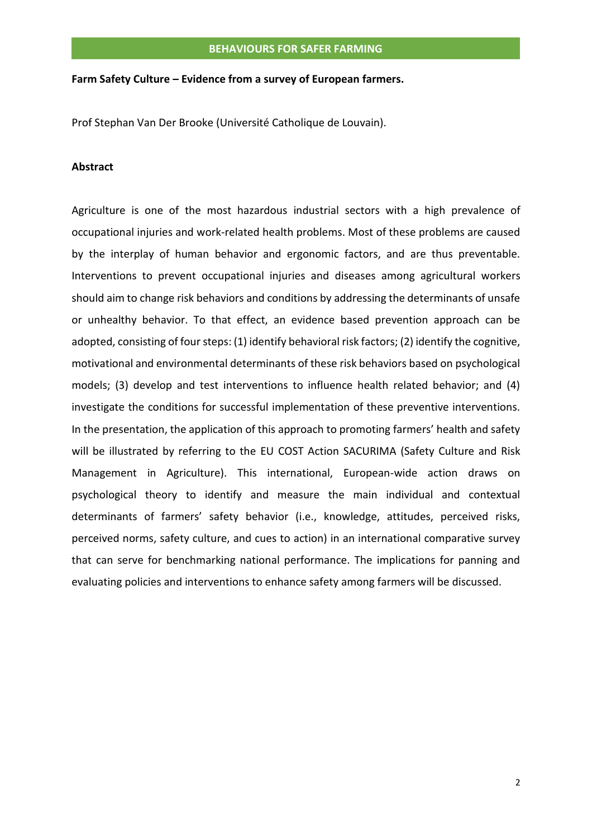#### **Farm Safety Culture – Evidence from a survey of European farmers.**

Prof Stephan Van Der Brooke (Université Catholique de Louvain).

#### **Abstract**

Agriculture is one of the most hazardous industrial sectors with a high prevalence of occupational injuries and work-related health problems. Most of these problems are caused by the interplay of human behavior and ergonomic factors, and are thus preventable. Interventions to prevent occupational injuries and diseases among agricultural workers should aim to change risk behaviors and conditions by addressing the determinants of unsafe or unhealthy behavior. To that effect, an evidence based prevention approach can be adopted, consisting of four steps: (1) identify behavioral risk factors; (2) identify the cognitive, motivational and environmental determinants of these risk behaviors based on psychological models; (3) develop and test interventions to influence health related behavior; and (4) investigate the conditions for successful implementation of these preventive interventions. In the presentation, the application of this approach to promoting farmers' health and safety will be illustrated by referring to the EU COST Action SACURIMA (Safety Culture and Risk Management in Agriculture). This international, European-wide action draws on psychological theory to identify and measure the main individual and contextual determinants of farmers' safety behavior (i.e., knowledge, attitudes, perceived risks, perceived norms, safety culture, and cues to action) in an international comparative survey that can serve for benchmarking national performance. The implications for panning and evaluating policies and interventions to enhance safety among farmers will be discussed.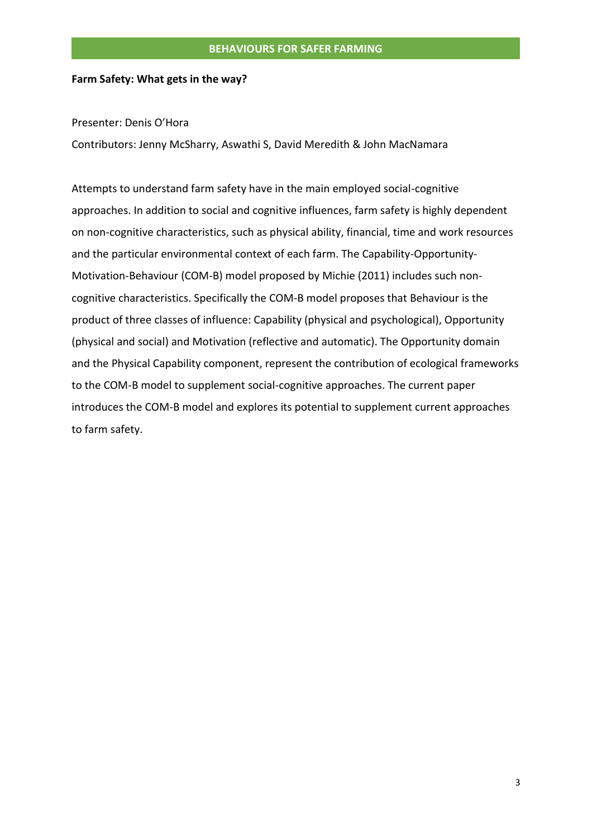#### **Farm Safety: What gets in the way?**

Presenter: Denis O'Hora

Contributors: Jenny McSharry, Aswathi S, David Meredith & John MacNamara

Attempts to understand farm safety have in the main employed social-cognitive approaches. In addition to social and cognitive influences, farm safety is highly dependent on non-cognitive characteristics, such as physical ability, financial, time and work resources and the particular environmental context of each farm. The Capability-Opportunity-Motivation-Behaviour (COM‐B) model proposed by Michie (2011) includes such noncognitive characteristics. Specifically the COM‐B model proposes that Behaviour is the product of three classes of influence: Capability (physical and psychological), Opportunity (physical and social) and Motivation (reflective and automatic). The Opportunity domain and the Physical Capability component, represent the contribution of ecological frameworks to the COM-B model to supplement social-cognitive approaches. The current paper introduces the COM-B model and explores its potential to supplement current approaches to farm safety.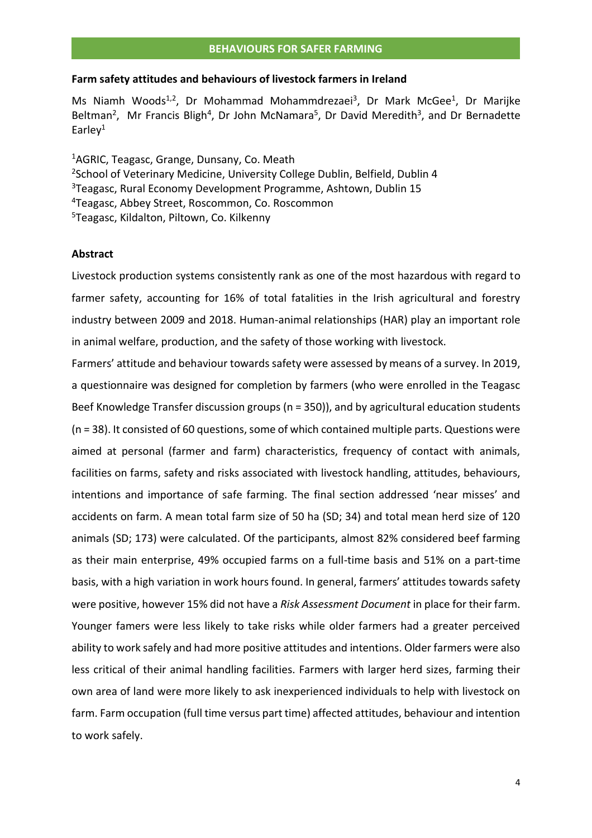#### **Farm safety attitudes and behaviours of livestock farmers in Ireland**

Ms Niamh Woods<sup>1,2</sup>, Dr Mohammad Mohammdrezaei<sup>3</sup>, Dr Mark McGee<sup>1</sup>, Dr Marijke Beltman<sup>2</sup>, Mr Francis Bligh<sup>4</sup>, Dr John McNamara<sup>5</sup>, Dr David Meredith<sup>3</sup>, and Dr Bernadette Earley $1$ 

AGRIC, Teagasc, Grange, Dunsany, Co. Meath <sup>2</sup>School of Veterinary Medicine, University College Dublin, Belfield, Dublin 4 Teagasc, Rural Economy Development Programme, Ashtown, Dublin 15 Teagasc, Abbey Street, Roscommon, Co. Roscommon Teagasc, Kildalton, Piltown, Co. Kilkenny

#### **Abstract**

Livestock production systems consistently rank as one of the most hazardous with regard to farmer safety, accounting for 16% of total fatalities in the Irish agricultural and forestry industry between 2009 and 2018. Human-animal relationships (HAR) play an important role in animal welfare, production, and the safety of those working with livestock.

Farmers' attitude and behaviour towards safety were assessed by means of a survey. In 2019, a questionnaire was designed for completion by farmers (who were enrolled in the Teagasc Beef Knowledge Transfer discussion groups (n = 350)), and by agricultural education students (n = 38). It consisted of 60 questions, some of which contained multiple parts. Questions were aimed at personal (farmer and farm) characteristics, frequency of contact with animals, facilities on farms, safety and risks associated with livestock handling, attitudes, behaviours, intentions and importance of safe farming. The final section addressed 'near misses' and accidents on farm. A mean total farm size of 50 ha (SD; 34) and total mean herd size of 120 animals (SD; 173) were calculated. Of the participants, almost 82% considered beef farming as their main enterprise, 49% occupied farms on a full-time basis and 51% on a part-time basis, with a high variation in work hours found. In general, farmers' attitudes towards safety were positive, however 15% did not have a *Risk Assessment Document* in place for their farm. Younger famers were less likely to take risks while older farmers had a greater perceived ability to work safely and had more positive attitudes and intentions. Older farmers were also less critical of their animal handling facilities. Farmers with larger herd sizes, farming their own area of land were more likely to ask inexperienced individuals to help with livestock on farm. Farm occupation (full time versus part time) affected attitudes, behaviour and intention to work safely.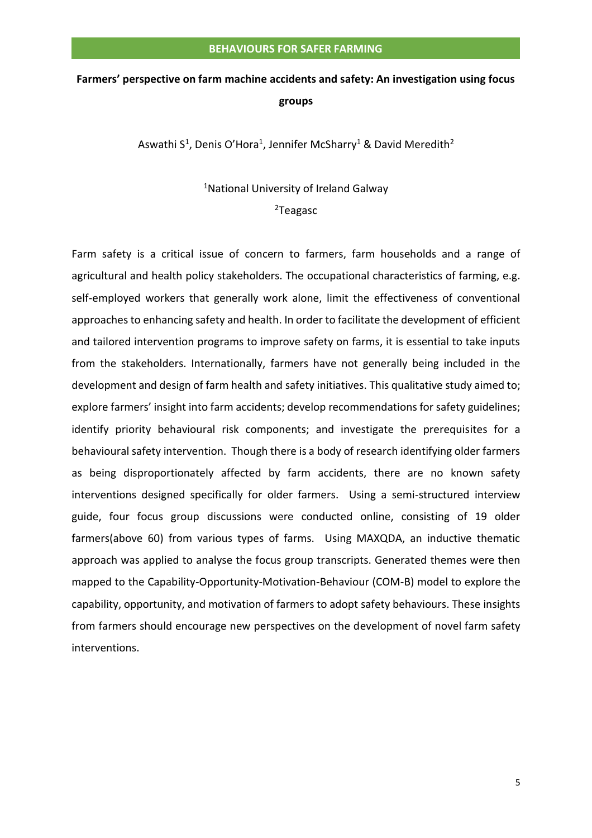# **Farmers' perspective on farm machine accidents and safety: An investigation using focus groups**

Aswathi S<sup>1</sup>, Denis O'Hora<sup>1</sup>, Jennifer McSharry<sup>1</sup> & David Meredith<sup>2</sup>

### <sup>1</sup>National University of Ireland Galway

#### <sup>2</sup>Teagasc

Farm safety is a critical issue of concern to farmers, farm households and a range of agricultural and health policy stakeholders. The occupational characteristics of farming, e.g. self-employed workers that generally work alone, limit the effectiveness of conventional approaches to enhancing safety and health. In order to facilitate the development of efficient and tailored intervention programs to improve safety on farms, it is essential to take inputs from the stakeholders. Internationally, farmers have not generally being included in the development and design of farm health and safety initiatives. This qualitative study aimed to; explore farmers' insight into farm accidents; develop recommendations for safety guidelines; identify priority behavioural risk components; and investigate the prerequisites for a behavioural safety intervention. Though there is a body of research identifying older farmers as being disproportionately affected by farm accidents, there are no known safety interventions designed specifically for older farmers. Using a semi-structured interview guide, four focus group discussions were conducted online, consisting of 19 older farmers(above 60) from various types of farms. Using MAXQDA, an inductive thematic approach was applied to analyse the focus group transcripts. Generated themes were then mapped to the Capability-Opportunity-Motivation-Behaviour (COM-B) model to explore the capability, opportunity, and motivation of farmers to adopt safety behaviours. These insights from farmers should encourage new perspectives on the development of novel farm safety interventions.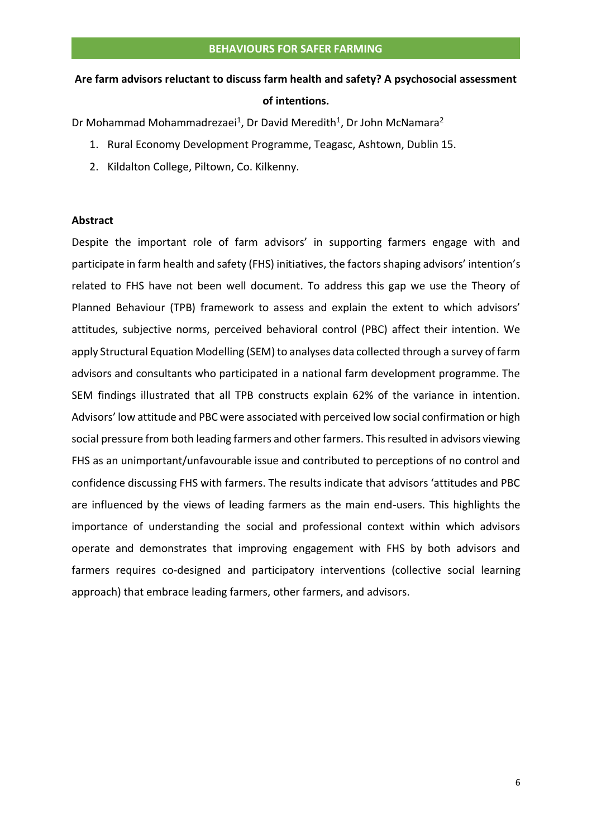# **Are farm advisors reluctant to discuss farm health and safety? A psychosocial assessment of intentions.**

Dr Mohammad Mohammadrezaei<sup>1</sup>, Dr David Meredith<sup>1</sup>, Dr John McNamara<sup>2</sup>

- 1. Rural Economy Development Programme, Teagasc, Ashtown, Dublin 15.
- 2. Kildalton College, Piltown, Co. Kilkenny.

#### **Abstract**

Despite the important role of farm advisors' in supporting farmers engage with and participate in farm health and safety (FHS) initiatives, the factors shaping advisors' intention's related to FHS have not been well document. To address this gap we use the Theory of Planned Behaviour (TPB) framework to assess and explain the extent to which advisors' attitudes, subjective norms, perceived behavioral control (PBC) affect their intention. We apply Structural Equation Modelling (SEM) to analyses data collected through a survey of farm advisors and consultants who participated in a national farm development programme. The SEM findings illustrated that all TPB constructs explain 62% of the variance in intention. Advisors' low attitude and PBC were associated with perceived low social confirmation or high social pressure from both leading farmers and other farmers. This resulted in advisors viewing FHS as an unimportant/unfavourable issue and contributed to perceptions of no control and confidence discussing FHS with farmers. The results indicate that advisors 'attitudes and PBC are influenced by the views of leading farmers as the main end-users. This highlights the importance of understanding the social and professional context within which advisors operate and demonstrates that improving engagement with FHS by both advisors and farmers requires co-designed and participatory interventions (collective social learning approach) that embrace leading farmers, other farmers, and advisors.